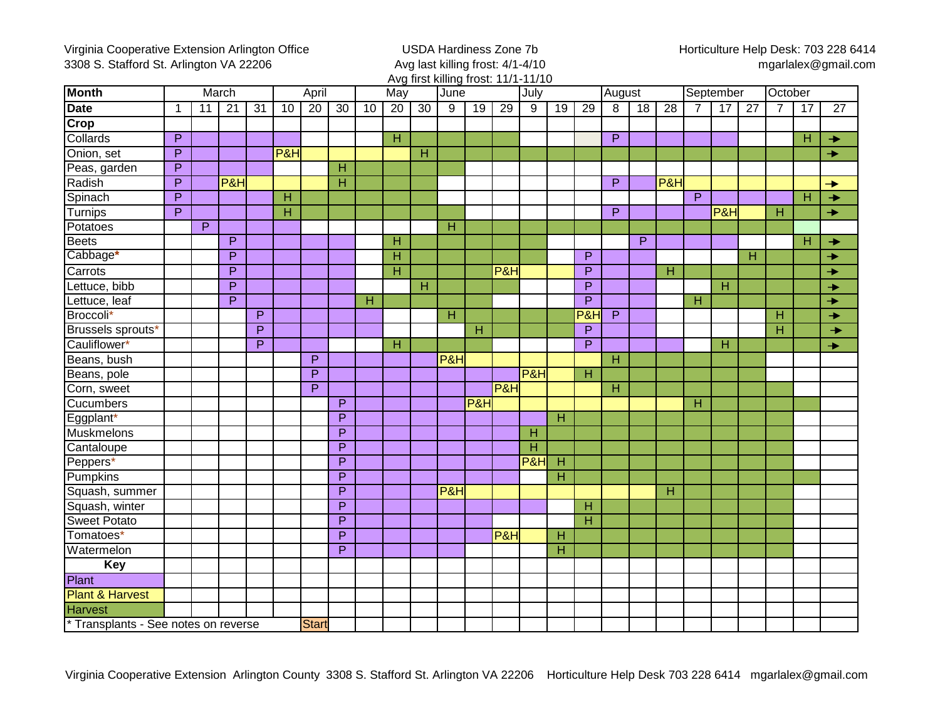Virginia Cooperative Extension Arlington Office 3308 S. Stafford St. Arlington VA 22206

USDA Hardiness Zone 7b Avg last killing frost: 4/1-4/10 Avg first killing frost: 11/1-11/10 Horticulture Help Desk: 703 228 6414 mgarlalex@gmail.com

| <b>Month</b>                        | March          |                |                 |                 | April                   |                 |                         | May |                         |                 | June |                 |                | . .,<br>July   |    |                         | August         |                 |                 | September      |                |                 | October                 |    |                 |
|-------------------------------------|----------------|----------------|-----------------|-----------------|-------------------------|-----------------|-------------------------|-----|-------------------------|-----------------|------|-----------------|----------------|----------------|----|-------------------------|----------------|-----------------|-----------------|----------------|----------------|-----------------|-------------------------|----|-----------------|
| Date                                | -1             | 11             | $\overline{21}$ | $\overline{31}$ | 10                      | $\overline{20}$ | $\overline{30}$         | 10  | $\overline{20}$         | $\overline{30}$ | 9    | $\overline{19}$ | 29             | 9              | 19 | 29                      | 8              | $\overline{18}$ | $\overline{28}$ | $\overline{7}$ | 17             | $\overline{27}$ | $\overline{7}$          | 17 | $\overline{27}$ |
| Crop                                |                |                |                 |                 |                         |                 |                         |     |                         |                 |      |                 |                |                |    |                         |                |                 |                 |                |                |                 |                         |    |                 |
| Collards                            | $\overline{P}$ |                |                 |                 |                         |                 |                         |     | $\overline{\mathsf{H}}$ |                 |      |                 |                |                |    |                         | $\overline{P}$ |                 |                 |                |                |                 |                         | н  | $\rightarrow$   |
| Onion, set                          | $\overline{P}$ |                |                 |                 | <b>P&amp;H</b>          |                 |                         |     |                         | н               |      |                 |                |                |    |                         |                |                 |                 |                |                |                 |                         |    | $\rightarrow$   |
| Peas, garden                        | P              |                |                 |                 |                         |                 | $\overline{H}$          |     |                         |                 |      |                 |                |                |    |                         |                |                 |                 |                |                |                 |                         |    |                 |
| Radish                              | P              |                | P&H             |                 |                         |                 | $\overline{H}$          |     |                         |                 |      |                 |                |                |    |                         | $\overline{P}$ |                 | P&H             |                |                |                 |                         |    | →               |
| Spinach                             | $\overline{P}$ |                |                 |                 | H                       |                 |                         |     |                         |                 |      |                 |                |                |    |                         |                |                 |                 | $\overline{P}$ |                |                 |                         | н  | $\rightarrow$   |
| Turnips                             | $\overline{P}$ |                |                 |                 | $\overline{\mathsf{H}}$ |                 |                         |     |                         |                 |      |                 |                |                |    |                         | P              |                 |                 |                | P&H            |                 | $\overline{\mathsf{H}}$ |    | $\rightarrow$   |
| Potatoes                            |                | $\overline{P}$ |                 |                 |                         |                 |                         |     |                         |                 | H    |                 |                |                |    |                         |                |                 |                 |                |                |                 |                         |    |                 |
| Beets                               |                |                | P               |                 |                         |                 |                         |     | H                       |                 |      |                 |                |                |    |                         |                | P               |                 |                |                |                 |                         | н  | $\rightarrow$   |
| Cabbage*                            |                |                | P               |                 |                         |                 |                         |     | $\overline{\mathsf{H}}$ |                 |      |                 |                |                |    | P                       |                |                 |                 |                |                | н               |                         |    | $\rightarrow$   |
| Carrots                             |                |                | P               |                 |                         |                 |                         |     | Η                       |                 |      |                 | P&H            |                |    | P                       |                |                 | H               |                |                |                 |                         |    | →               |
| Lettuce, bibb                       |                |                | P               |                 |                         |                 |                         |     |                         | н               |      |                 |                |                |    | P                       |                |                 |                 |                | $\overline{H}$ |                 |                         |    | →               |
| Lettuce, leaf                       |                |                | P               |                 |                         |                 |                         | H   |                         |                 |      |                 |                |                |    | P                       |                |                 |                 | H              |                |                 |                         |    | →               |
| Broccoli*                           |                |                |                 | P               |                         |                 |                         |     |                         |                 | н    |                 |                |                |    | P&H                     | P              |                 |                 |                |                |                 | Н                       |    | $\rightarrow$   |
| Brussels sprouts*                   |                |                |                 | P               |                         |                 |                         |     |                         |                 |      | H               |                |                |    | $\overline{P}$          |                |                 |                 |                |                |                 | H                       |    | $\rightarrow$   |
| Cauliflower*                        |                |                |                 | $\overline{P}$  |                         |                 |                         |     | H                       |                 |      |                 |                |                |    | P                       |                |                 |                 |                | $\overline{H}$ |                 |                         |    | →               |
| Beans, bush                         |                |                |                 |                 |                         | $\overline{P}$  |                         |     |                         |                 | P&H  |                 |                |                |    |                         | н              |                 |                 |                |                |                 |                         |    |                 |
| Beans, pole                         |                |                |                 |                 |                         | $\overline{P}$  |                         |     |                         |                 |      |                 |                | P&H            |    | $\overline{H}$          |                |                 |                 |                |                |                 |                         |    |                 |
| Corn, sweet                         |                |                |                 |                 |                         | P               |                         |     |                         |                 |      |                 | <b>P&amp;H</b> |                |    |                         | H              |                 |                 |                |                |                 |                         |    |                 |
| Cucumbers                           |                |                |                 |                 |                         |                 | $\mathsf{P}$            |     |                         |                 |      | P&H             |                |                |    |                         |                |                 |                 | $\mathsf{H}$   |                |                 |                         |    |                 |
| Eggplant*                           |                |                |                 |                 |                         |                 | $\overline{P}$          |     |                         |                 |      |                 |                |                | H  |                         |                |                 |                 |                |                |                 |                         |    |                 |
| Muskmelons                          |                |                |                 |                 |                         |                 | P                       |     |                         |                 |      |                 |                | Н              |    |                         |                |                 |                 |                |                |                 |                         |    |                 |
| Cantaloupe                          |                |                |                 |                 |                         |                 | P                       |     |                         |                 |      |                 |                | $\overline{H}$ |    |                         |                |                 |                 |                |                |                 |                         |    |                 |
| Peppers*                            |                |                |                 |                 |                         |                 | P                       |     |                         |                 |      |                 |                | <b>P&amp;H</b> | H  |                         |                |                 |                 |                |                |                 |                         |    |                 |
| Pumpkins                            |                |                |                 |                 |                         |                 | P                       |     |                         |                 |      |                 |                |                | H  |                         |                |                 |                 |                |                |                 |                         |    |                 |
| Squash, summer                      |                |                |                 |                 |                         |                 | $\overline{\mathsf{P}}$ |     |                         |                 | P&H  |                 |                |                |    |                         |                |                 | H               |                |                |                 |                         |    |                 |
| Squash, winter                      |                |                |                 |                 |                         |                 | $\overline{\mathsf{P}}$ |     |                         |                 |      |                 |                |                |    | $\overline{\mathsf{H}}$ |                |                 |                 |                |                |                 |                         |    |                 |
| Sweet Potato                        |                |                |                 |                 |                         |                 | $\overline{\mathsf{P}}$ |     |                         |                 |      |                 |                |                |    | Η                       |                |                 |                 |                |                |                 |                         |    |                 |
| Tomatoes*                           |                |                |                 |                 |                         |                 | $\overline{\mathsf{P}}$ |     |                         |                 |      |                 | P&H            |                | H  |                         |                |                 |                 |                |                |                 |                         |    |                 |
| Watermelon                          |                |                |                 |                 |                         |                 | $\overline{\mathsf{P}}$ |     |                         |                 |      |                 |                |                | Η  |                         |                |                 |                 |                |                |                 |                         |    |                 |
| <b>Key</b>                          |                |                |                 |                 |                         |                 |                         |     |                         |                 |      |                 |                |                |    |                         |                |                 |                 |                |                |                 |                         |    |                 |
| Plant                               |                |                |                 |                 |                         |                 |                         |     |                         |                 |      |                 |                |                |    |                         |                |                 |                 |                |                |                 |                         |    |                 |
| <b>Plant &amp; Harvest</b>          |                |                |                 |                 |                         |                 |                         |     |                         |                 |      |                 |                |                |    |                         |                |                 |                 |                |                |                 |                         |    |                 |
| <b>Harvest</b>                      |                |                |                 |                 |                         |                 |                         |     |                         |                 |      |                 |                |                |    |                         |                |                 |                 |                |                |                 |                         |    |                 |
| *Transplants - See notes on reverse |                |                |                 |                 | <b>Start</b>            |                 |                         |     |                         |                 |      |                 |                |                |    |                         |                |                 |                 |                |                |                 |                         |    |                 |

Virginia Cooperative Extension Arlington County 3308 S. Stafford St. Arlington VA 22206 Horticulture Help Desk 703 228 6414 mgarlalex@gmail.com